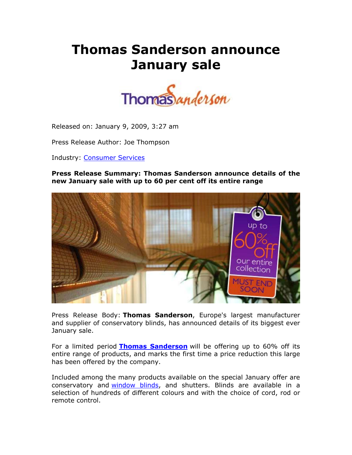# **Thomas Sanderson announce January sale**



Released on: January 9, 2009, 3:27 am

Press Release Author: Joe Thompson

Industry: Consumer Services

**Press Release Summary: Thomas Sanderson announce details of the new January sale with up to 60 per cent off its entire range**



Press Release Body: **Thomas Sanderson**, Europe's largest manufacturer and supplier of conservatory blinds, has announced details of its biggest ever January sale.

For a limited period **Thomas Sanderson** will be offering up to 60% off its entire range of products, and marks the first time a price reduction this large has been offered by the company.

Included among the many products available on the special January offer are conservatory and window blinds, and shutters. Blinds are available in a selection of hundreds of different colours and with the choice of cord, rod or remote control.